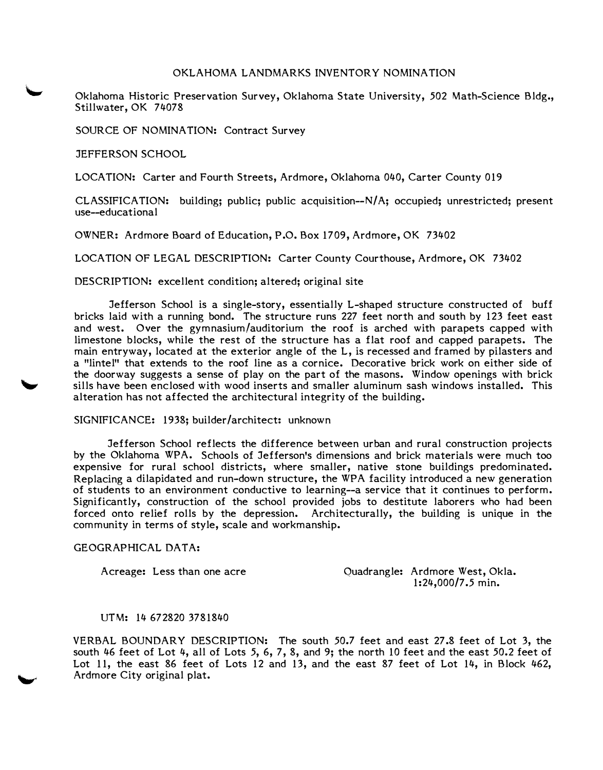## OKLAHOMA LANDMARKS INVENTORY NOMINATION

Oklahoma Historic Preservation Survey, Oklahoma State University, *502* Math-Science Bldg., Stillwater, OK 74078

SOURCE OF NOMINATION: Contract Survey

JEFFERSON SCHOOL

LOCATION: Carter and Fourth Streets, Ardmore, Oklahoma 040, Carter County 019

 $CLASSIFICATION:$  building; public; public acquisition-- $N/A$ ; occupied; unrestricted; present use--educational

OWNER: Ardmore Board of Education, P.O. Box 1709, Ardmore, OK 73402

LOCATION OF LEGAL DESCRIPTION: Carter County Courthouse, Ardmore, OK 73402

DESCRIPTION: excellent condition; altered; original site

Jefferson School is a single-story, essentially L-shaped structure constructed of buff bricks laid with a running bond. The structure runs 227 feet north and south by 123 feet east and west. Over the gymnasium/auditorium the roof is arched with parapets capped with limestone blocks, while the rest of the structure has a flat roof and capped parapets. The main entryway, located at the exterior angle of the L, is recessed and framed by pilasters and a "lintel" that extends to the roof line as a cornice. Decorative brick work on either side of the doorway suggests a sense of play on the part of the masons. Window openings with brick sills have been enclosed with wood inserts and smaller aluminum sash windows installed. This alteration has not affected the architectural integrity of the building.

SIGNIFICANCE: 1938; builder /architect: unknown

Jefferson School reflects the difference between urban and rural construction projects by the Oklahoma WPA. Schools of Jefferson's dimensions and brick materials were much too expensive for rural school districts, where smaller, native stone buildings predominated. Replacing a dilapidated and run-down structure, the WPA facility introduced a new generation of students to an environment conductive to learning--a service that it continues to perform. Significantly, construction of the school provided jobs to destitute laborers who had been forced onto relief rolls by the depression. Architecturally, the building is unique in the community in terms of style, scale and workmanship.

## GEOGRAPHICAL DATA:

Acreage: Less than one acre

Quadrangle: Ardmore West, Okla. 1:24,000/7.5 min.

## UTM: 14 672820 3781840

VERBAL BOUNDARY DESCRIPTION: The south *50.7* feet and east 27.8 feet of Lot 3, the south 46 feet of Lot 4, all of Lots *5,* 6, 7, 8, and 9; the north 10 feet and the east *50.2* feet of Lot 11, the east 86 feet of Lots 12 and 13, and the east 87 feet of Lot 14, in Block 462, Ardmore City original plat.